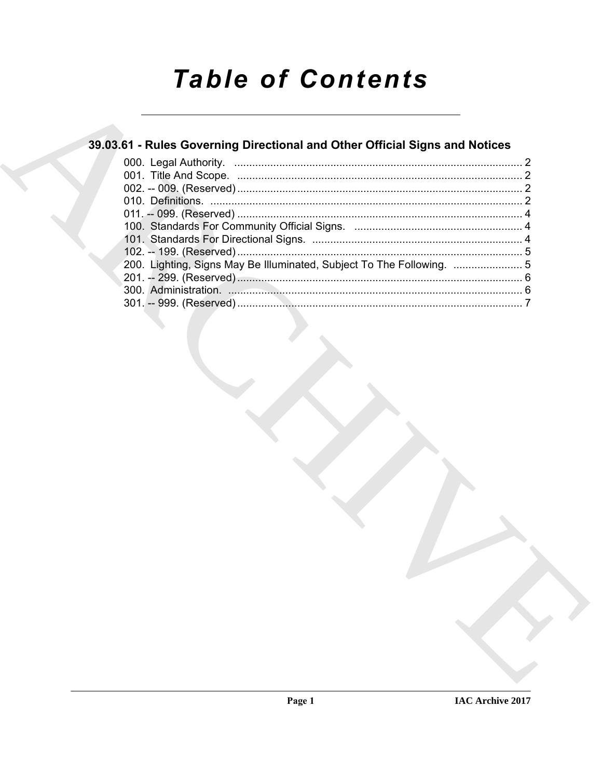# **Table of Contents**

## 39.03.61 - Rules Governing Directional and Other Official Signs and Notices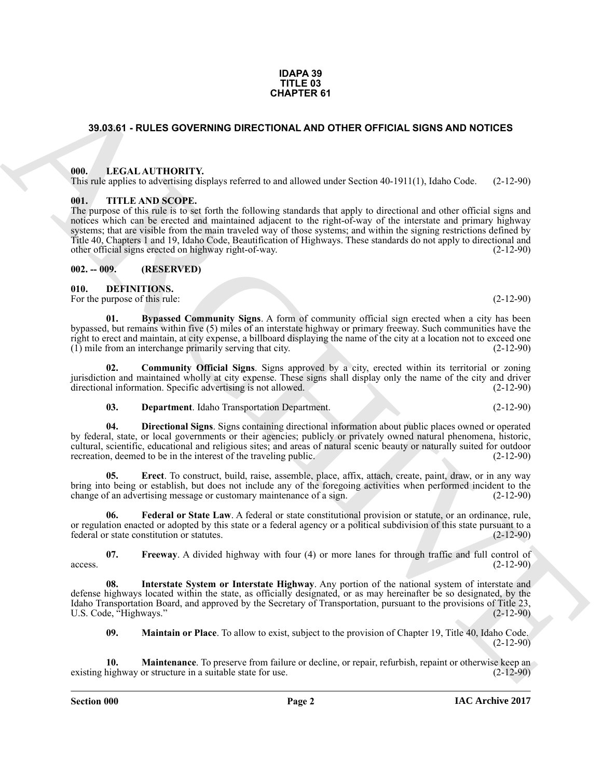(2-12-90)

**Section 000 Page 2**

existing highway or structure in a suitable state for use.

### U.S. Code, "Highways." (2-12-90) **09. Maintain or Place**. To allow to exist, subject to the provision of Chapter 19, Title 40, Idaho Code.

<span id="page-1-15"></span><span id="page-1-14"></span>**10. Maintenance**. To preserve from failure or decline, or repair, refurbish, repaint or otherwise keep an highway or structure in a suitable state for use.

<span id="page-1-13"></span><span id="page-1-12"></span>**08. Interstate System or Interstate Highway**. Any portion of the national system of interstate and

federal or state constitution or statutes.

**07. Freeway**. A divided highway with four (4) or more lanes for through traffic and full control of  $(2-12-90)$  $\alpha$  access.  $(2-12-90)$ 

defense highways located within the state, as officially designated, or as may hereinafter be so designated, by the Idaho Transportation Board, and approved by the Secretary of Transportation, pursuant to the provisions of Title 23,

<span id="page-1-11"></span><span id="page-1-10"></span>**Federal or State Law**. A federal or state constitutional provision or statute, or an ordinance, rule, or regulation enacted or adopted by this state or a federal agency or a political subdivision of this state pursuant to a

**38.03.51 - RULES GOVERNING DIRECTIONAL AND OTHER OFTICAL SIGNS AND NOTICES<br>
18.03.51 - RULES GOVERNING DIRECTIONAL AND OTHER OFTICAL SIGNS AND NOTICES<br>
18.1. LEVEL AND INSTEAD CONTINUES INTO A REPORT FOR THE SECOND AT TH 05. Erect**. To construct, build, raise, assemble, place, affix, attach, create, paint, draw, or in any way bring into being or establish, but does not include any of the foregoing activities when performed incident to the change of an advertising message or customary maintenance of a sign. (2-12-90) change of an advertising message or customary maintenance of a sign.

<span id="page-1-9"></span>**04. Directional Signs**. Signs containing directional information about public places owned or operated by federal, state, or local governments or their agencies; publicly or privately owned natural phenomena, historic, cultural, scientific, educational and religious sites; and areas of natural scenic beauty or naturally suited for outdoor recreation, deemed to be in the interest of the traveling public. (2-12-90)

<span id="page-1-8"></span>jurisdiction and maintained wholly at city expense. These signs shall display only the name of the city and driver directional information. Specific advertising is not allowed. **03. Department**. Idaho Transportation Department. (2-12-90)

right to erect and maintain, at city expense, a billboard displaying the name of the city at a location not to exceed one (1) mile from an interchange primarily serving that city. (2-12-90)

<span id="page-1-7"></span>**02. Community Official Signs**. Signs approved by a city, erected within its territorial or zoning

bypassed, but remains within five (5) miles of an interstate highway or primary freeway. Such communities have the

<span id="page-1-6"></span>**01. Bypassed Community Signs**. A form of community official sign erected when a city has been

<span id="page-1-3"></span>other official signs erected on highway right-of-way. (2-12-90) **002. -- 009. (RESERVED)**

<span id="page-1-1"></span>**000. LEGAL AUTHORITY.**

<span id="page-1-2"></span>**001. TITLE AND SCOPE.**

<span id="page-1-5"></span><span id="page-1-4"></span>**010. DEFINITIONS.**

**IDAPA 39 TITLE 03 CHAPTER 61**

<span id="page-1-0"></span>**39.03.61 - RULES GOVERNING DIRECTIONAL AND OTHER OFFICIAL SIGNS AND NOTICES**

This rule applies to advertising displays referred to and allowed under Section 40-1911(1), Idaho Code. (2-12-90)

The purpose of this rule is to set forth the following standards that apply to directional and other official signs and notices which can be erected and maintained adjacent to the right-of-way of the interstate and primary highway systems; that are visible from the main traveled way of those systems; and within the signing restrictions defined by Title 40, Chapters 1 and 19, Idaho Code, Beautification of Highways. These standards do not apply to directional and

For the purpose of this rule: (2-12-90) (2-12-90)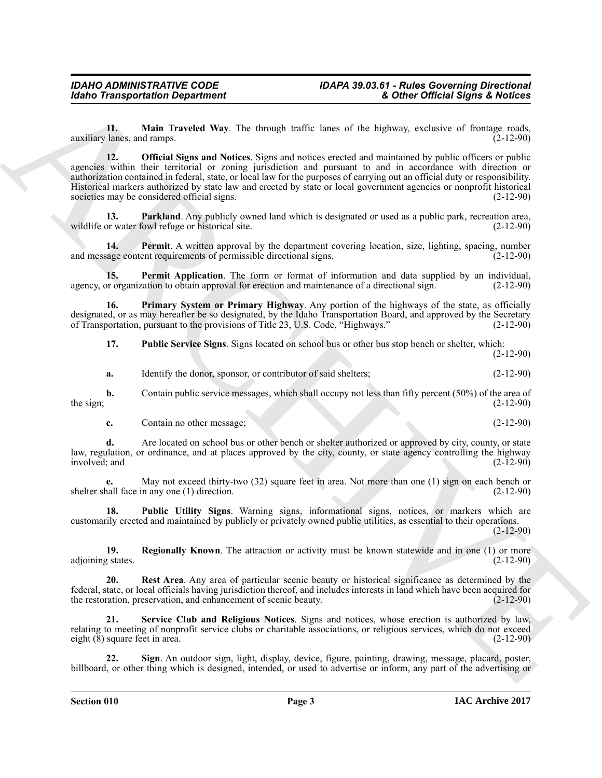<span id="page-2-1"></span><span id="page-2-0"></span>**11.** Main Traveled Way. The through traffic lanes of the highway, exclusive of frontage roads, lanes, and ramps. (2-12-90) auxiliary lanes, and ramps.

**Example Transportation Department<br>
Label Transportation Department<br>
2. Other Directed Way. The through tradit have only as the shapes exclusive of a boundary of the shapes results of the shapes of the shapes of the shap 12. Official Signs and Notices**. Signs and notices erected and maintained by public officers or public agencies within their territorial or zoning jurisdiction and pursuant to and in accordance with direction or authorization contained in federal, state, or local law for the purposes of carrying out an official duty or responsibility. Historical markers authorized by state law and erected by state or local government agencies or nonprofit historical societies may be considered official signs. (2-12-90)

<span id="page-2-2"></span>**13. Parkland**. Any publicly owned land which is designated or used as a public park, recreation area, or water fowl refuge or historical site. (2-12-90) wildlife or water fowl refuge or historical site.

<span id="page-2-3"></span>**14. Permit**. A written approval by the department covering location, size, lighting, spacing, number and message content requirements of permissible directional signs. (2-12-90)

<span id="page-2-4"></span>**15. Permit Application**. The form or format of information and data supplied by an individual, or organization to obtain approval for erection and maintenance of a directional sign. (2-12-90) agency, or organization to obtain approval for erection and maintenance of a directional sign.

**16. Primary System or Primary Highway**. Any portion of the highways of the state, as officially designated, or as may hereafter be so designated, by the Idaho Transportation Board, and approved by the Secretary of Transportation, pursuant to the provisions of Title 23, U.S. Code, "Highways." (2-12-90) of Transportation, pursuant to the provisions of Title 23, U.S. Code, "Highways."

<span id="page-2-6"></span><span id="page-2-5"></span>**17. Public Service Signs**. Signs located on school bus or other bus stop bench or shelter, which: (2-12-90)

**a.** Identify the donor, sponsor, or contributor of said shelters; (2-12-90)

**b.** Contain public service messages, which shall occupy not less than fifty percent (50%) of the area of (2-12-90) the sign;  $(2-12-90)$ 

**c.** Contain no other message; (2-12-90)

**d.** Are located on school bus or other bench or shelter authorized or approved by city, county, or state law, regulation, or ordinance, and at places approved by the city, county, or state agency controlling the highway involved; and  $(2-12-90)$ involved; and

**e.** May not exceed thirty-two (32) square feet in area. Not more than one (1) sign on each bench or shelter shall face in any one (1) direction. (2-12-90)

<span id="page-2-7"></span>**18. Public Utility Signs**. Warning signs, informational signs, notices, or markers which are customarily erected and maintained by publicly or privately owned public utilities, as essential to their operations. (2-12-90)

<span id="page-2-8"></span>**19. Regionally Known**. The attraction or activity must be known statewide and in one (1) or more g states. (2-12-90) adjoining states.

<span id="page-2-9"></span>**20. Rest Area**. Any area of particular scenic beauty or historical significance as determined by the federal, state, or local officials having jurisdiction thereof, and includes interests in land which have been acquired for the restoration, preservation, and enhancement of scenic beauty.

<span id="page-2-10"></span>**21. Service Club and Religious Notices**. Signs and notices, whose erection is authorized by law, relating to meeting of nonprofit service clubs or charitable associations, or religious services, which do not exceed eight (8) square feet in area. (2-12-90)

<span id="page-2-11"></span>**Sign**. An outdoor sign, light, display, device, figure, painting, drawing, message, placard, poster, billboard, or other thing which is designed, intended, or used to advertise or inform, any part of the advertising or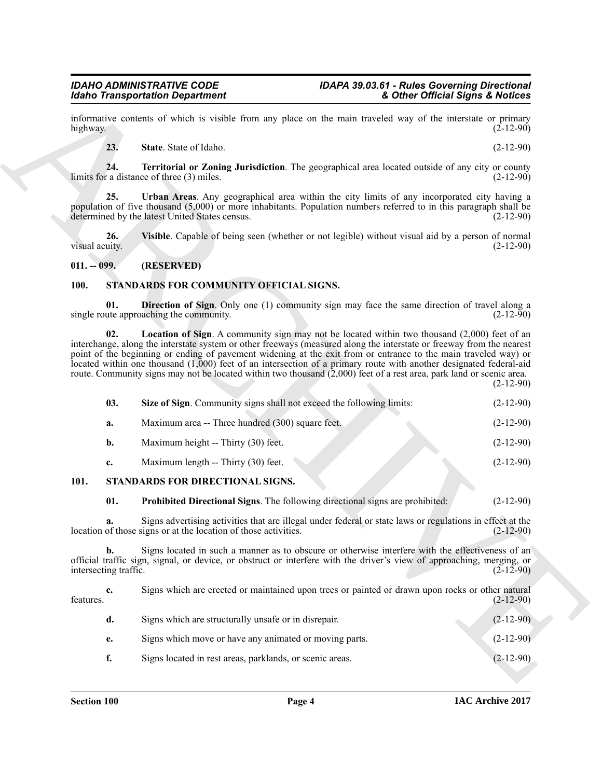## *Idaho Transportation Department*

informative contents of which is visible from any place on the main traveled way of the interstate or primary highway.  $(2-12-90)$ 

<span id="page-3-5"></span><span id="page-3-4"></span><span id="page-3-3"></span>**23.** State State of Idaho. (2-12-90)

**24. Territorial or Zoning Jurisdiction**. The geographical area located outside of any city or county limits for a distance of three  $(3)$  miles.

**25. Urban Areas**. Any geographical area within the city limits of any incorporated city having a population of five thousand (5,000) or more inhabitants. Population numbers referred to in this paragraph shall be determined by the latest United States census. (2-12-90)

<span id="page-3-6"></span>**26.** Visible. Capable of being seen (whether or not legible) without visual aid by a person of normal visual acuity.  $(2-12-90)$ visual acuity. (2-12-90)

#### <span id="page-3-0"></span>**011. -- 099. (RESERVED)**

#### <span id="page-3-8"></span><span id="page-3-7"></span><span id="page-3-1"></span>**100. STANDARDS FOR COMMUNITY OFFICIAL SIGNS.**

**01. Direction of Sign**. Only one (1) community sign may face the same direction of travel along a ute approaching the community. (2-12-90) single route approaching the community.

<span id="page-3-10"></span><span id="page-3-9"></span>**02. Location of Sign**. A community sign may not be located within two thousand (2,000) feet of an interchange, along the interstate system or other freeways (measured along the interstate or freeway from the nearest point of the beginning or ending of pavement widening at the exit from or entrance to the main traveled way) or located within one thousand (1,000) feet of an intersection of a primary route with another designated federal-aid route. Community signs may not be located within two thousand (2,000) feet of a rest area, park land or scenic area. (2-12-90)

More Transportation Department<br>
and the station of the stationary and the stationary and the stationary of the stationary of the stationary energy of the stationary of the stationary of the stationary of the stationary of **03.** Size of Sign. Community signs shall not exceed the following limits:  $(2-12-90)$ **a.** Maximum area -- Three hundred (300) square feet. (2-12-90) **b.** Maximum height -- Thirty (30) feet. (2-12-90) **c.** Maximum length -- Thirty (30) feet. (2-12-90) **101. STANDARDS FOR DIRECTIONAL SIGNS. 01. Prohibited Directional Signs**. The following directional signs are prohibited: (2-12-90)

<span id="page-3-12"></span><span id="page-3-11"></span><span id="page-3-2"></span>**a.** Signs advertising activities that are illegal under federal or state laws or regulations in effect at the location of those signs or at the location of those activities. (2-12-90)

**b.** Signs located in such a manner as to obscure or otherwise interfere with the effectiveness of an official traffic sign, signal, or device, or obstruct or interfere with the driver's view of approaching, merging, or intersecting traffic.

**c.** Signs which are erected or maintained upon trees or painted or drawn upon rocks or other natural (2-12-90) features.  $(2-12-90)$ **d.** Signs which are structurally unsafe or in disrepair. (2-12-90) **e.** Signs which move or have any animated or moving parts. (2-12-90) **f.** Signs located in rest areas, parklands, or scenic areas. (2-12-90)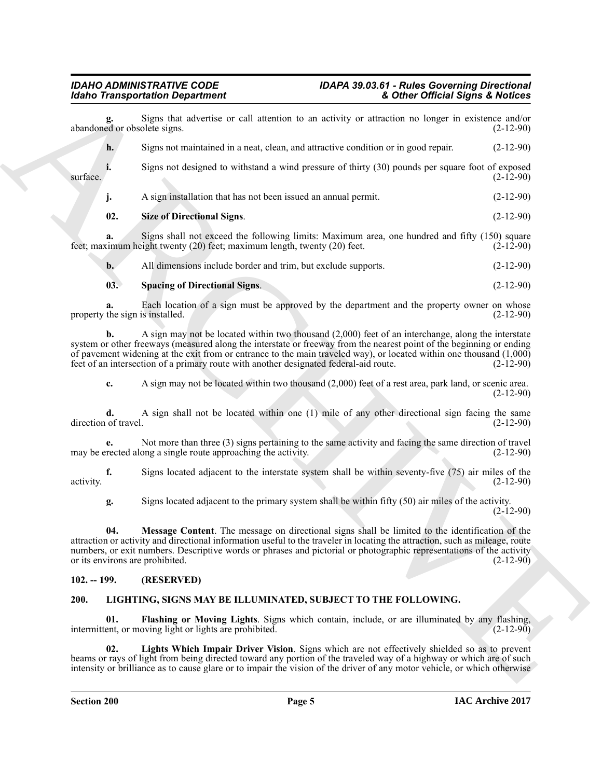#### *IDAHO ADMINISTRATIVE CODE IDAPA 39.03.61 - Rules Governing Directional Idaho Transportation Department & Other Official Signs & Notices*

**EXAMPLE CONSTRAINTS AND CONSTRAINTS AND CONSTRAINTS AND CONSTRAINTS AND CONSTRAINTS AND CONSTRAINTS AND CONSTRAINTS AND CONSTRAINTS AND CONSTRAINTS AND CONSTRAINTS AND CONSTRAINTS AND CONSTRAINTS AND CONSTRAINTS AND CON** Signs that advertise or call attention to an activity or attraction no longer in existence and/or olete signs. (2-12-90) abandoned or obsolete signs. **h.** Signs not maintained in a neat, clean, and attractive condition or in good repair. (2-12-90) **i.** Signs not designed to withstand a wind pressure of thirty (30) pounds per square foot of exposed (2-12-90)  $\text{surface}$ . (2-12-90) **j.** A sign installation that has not been issued an annual permit. (2-12-90) **02. Size of Directional Signs**. (2-12-90) **a.** Signs shall not exceed the following limits: Maximum area, one hundred and fifty (150) square simum height twenty (20) feet; maximum length, twenty (20) feet. feet; maximum height twenty  $(20)$  feet; maximum length, twenty  $(20)$  feet. **b.** All dimensions include border and trim, but exclude supports. (2-12-90)

#### <span id="page-4-7"></span><span id="page-4-6"></span>**03. Spacing of Directional Signs**. (2-12-90)

**a.** Each location of a sign must be approved by the department and the property owner on whose the sign is installed. (2-12-90) property the sign is installed.

**b.** A sign may not be located within two thousand (2,000) feet of an interchange, along the interstate system or other freeways (measured along the interstate or freeway from the nearest point of the beginning or ending of pavement widening at the exit from or entrance to the main traveled way), or located within one thousand  $(1,000)$  feet of an intersection of a primary route with another designated federal-aid route.  $(2-12-90)$ feet of an intersection of a primary route with another designated federal-aid route.

**c.** A sign may not be located within two thousand (2,000) feet of a rest area, park land, or scenic area. (2-12-90)

**d.** A sign shall not be located within one (1) mile of any other directional sign facing the same of travel. (2-12-90) direction of travel.

**e.** Not more than three (3) signs pertaining to the same activity and facing the same direction of travel rected along a single route approaching the activity. (2-12-90) may be erected along a single route approaching the activity.

**f.** Signs located adjacent to the interstate system shall be within seventy-five (75) air miles of the (2-12-90) activity. (2-12-90)

<span id="page-4-5"></span>**g.** Signs located adjacent to the primary system shall be within fifty (50) air miles of the activity.  $(2-12-90)$ 

**04. Message Content**. The message on directional signs shall be limited to the identification of the attraction or activity and directional information useful to the traveler in locating the attraction, such as mileage, route numbers, or exit numbers. Descriptive words or phrases and pictorial or photographic representations of the activity or its environs are prohibited. (2-12-90) or its environs are prohibited.

#### <span id="page-4-2"></span><span id="page-4-0"></span>**102. -- 199. (RESERVED)**

### <span id="page-4-1"></span>**200. LIGHTING, SIGNS MAY BE ILLUMINATED, SUBJECT TO THE FOLLOWING.**

<span id="page-4-3"></span>**01. Flashing or Moving Lights**. Signs which contain, include, or are illuminated by any flashing, ent. or moving light or lights are prohibited. intermittent, or moving light or lights are prohibited.

<span id="page-4-4"></span>**02. Lights Which Impair Driver Vision**. Signs which are not effectively shielded so as to prevent beams or rays of light from being directed toward any portion of the traveled way of a highway or which are of such intensity or brilliance as to cause glare or to impair the vision of the driver of any motor vehicle, or which otherwise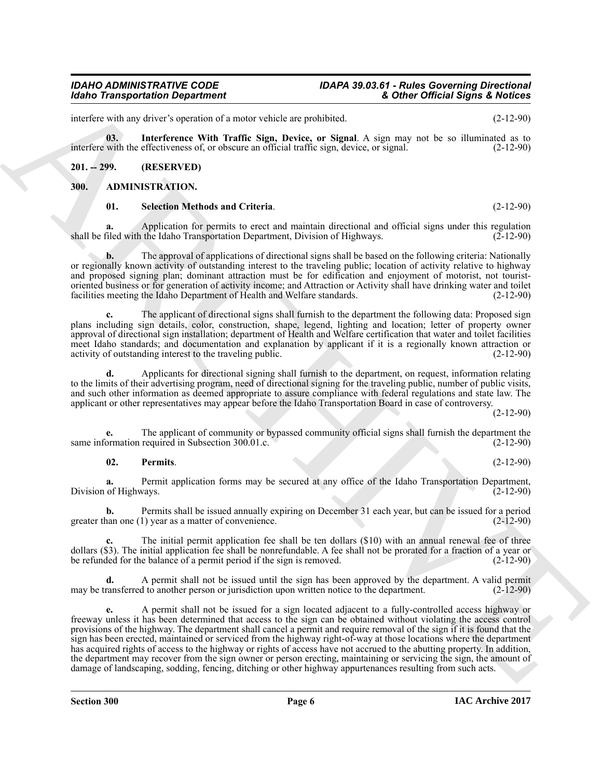## *Idaho Transportation Department*

## *IDAHO ADMINISTRATIVE CODE IDAPA 39.03.61 - Rules Governing Directional*

interfere with any driver's operation of a motor vehicle are prohibited. (2-12-90)

<span id="page-5-5"></span>**03. Interference With Traffic Sign, Device, or Signal**. A sign may not be so illuminated as to interfere with the effectiveness of, or obscure an official traffic sign, device, or signal. (2-12-90)

### <span id="page-5-0"></span>**201. -- 299. (RESERVED)**

### <span id="page-5-1"></span>**300. ADMINISTRATION.**

#### <span id="page-5-4"></span><span id="page-5-2"></span>**01. Selection Methods and Criteria**. (2-12-90)

**a.** Application for permits to erect and maintain directional and official signs under this regulation filed with the Idaho Transportation Department. Division of Highways. (2-12-90) shall be filed with the Idaho Transportation Department, Division of Highways.

**b.** The approval of applications of directional signs shall be based on the following criteria: Nationally or regionally known activity of outstanding interest to the traveling public; location of activity relative to highway and proposed signing plan; dominant attraction must be for edification and enjoyment of motorist, not touristoriented business or for generation of activity income; and Attraction or Activity shall have drinking water and toilet facilities meeting the Idaho Department of Health and Welfare standards. (2-12-90)

**c.** The applicant of directional signs shall furnish to the department the following data: Proposed sign plans including sign details, color, construction, shape, legend, lighting and location; letter of property owner approval of directional sign installation; department of Health and Welfare certification that water and toilet facilities meet Idaho standards; and documentation and explanation by applicant if it is a regionally known attraction or activity of outstanding interest to the traveling public. (2-12-90)

**d.** Applicants for directional signing shall furnish to the department, on request, information relating to the limits of their advertising program, need of directional signing for the traveling public, number of public visits, and such other information as deemed appropriate to assure compliance with federal regulations and state law. The applicant or other representatives may appear before the Idaho Transportation Board in case of controversy.

(2-12-90)

**e.** The applicant of community or bypassed community official signs shall furnish the department the ormation required in Subsection 300.01.c. same information required in Subsection 300.01.c.

### <span id="page-5-3"></span>**02. Permits**. (2-12-90)

**a.** Permit application forms may be secured at any office of the Idaho Transportation Department, Division of Highways. (2-12-90)

**b.** Permits shall be issued annually expiring on December 31 each year, but can be issued for a period han one (1) year as a matter of convenience. greater than one  $(1)$  year as a matter of convenience.

**c.** The initial permit application fee shall be ten dollars (\$10) with an annual renewal fee of three dollars (\$3). The initial application fee shall be nonrefundable. A fee shall not be prorated for a fraction of a year or be refunded for the balance of a permit period if the sign is removed. (2-12-90) be refunded for the balance of a permit period if the sign is removed.

**d.** A permit shall not be issued until the sign has been approved by the department. A valid permit may be transferred to another person or jurisdiction upon written notice to the department. (2-12-90)

Mohio Transportation Department<br>
and the state state and the state relation is a method as particular and the state and the state of the state of the state of the state of the state of the state of the state of the state **e.** A permit shall not be issued for a sign located adjacent to a fully-controlled access highway or freeway unless it has been determined that access to the sign can be obtained without violating the access control provisions of the highway. The department shall cancel a permit and require removal of the sign if it is found that the sign has been erected, maintained or serviced from the highway right-of-way at those locations where the department has acquired rights of access to the highway or rights of access have not accrued to the abutting property. In addition, the department may recover from the sign owner or person erecting, maintaining or servicing the sign, the amount of damage of landscaping, sodding, fencing, ditching or other highway appurtenances resulting from such acts.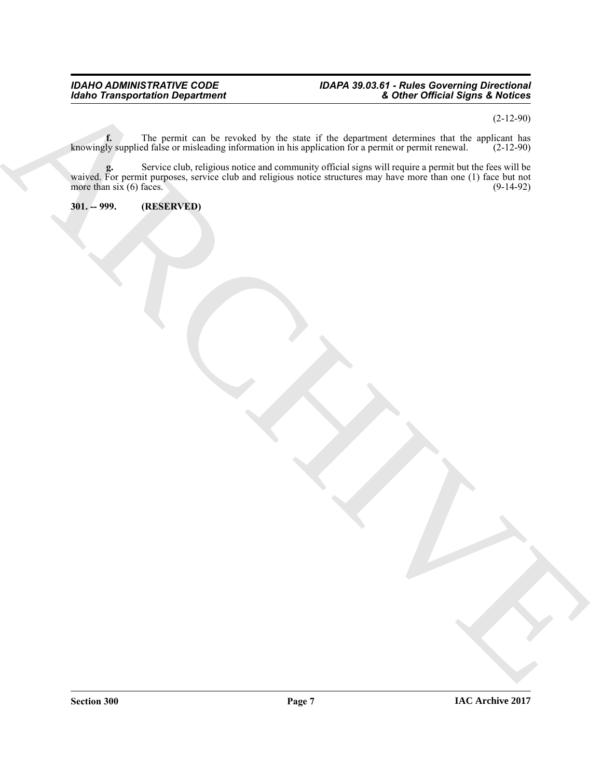#### *IDAHO ADMINISTRATIVE CODE IDAPA 39.03.61 - Rules Governing Directional Idaho Transportation Department & Other Official Signs & Notices*

(2-12-90)

**f.** The permit can be revoked by the state if the department determines that the applicant has knowingly supplied false or misleading information in his application for a permit or permit renewal. (2-12-90)

ARCHIVE **g.** Service club, religious notice and community official signs will require a permit but the fees will be g. Service club, religious notice and community official signs will require a permit but the fees will be waived. For permit purposes, service club and religious notice structures may have more than one (1) face but not mo more than  $six(6)$  faces.

<span id="page-6-0"></span>**301. -- 999. (RESERVED)**